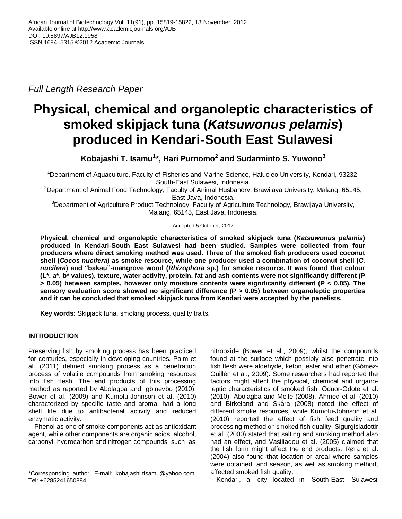*Full Length Research Paper*

# **Physical, chemical and organoleptic characteristics of smoked skipjack tuna (***Katsuwonus pelamis***) produced in Kendari-South East Sulawesi**

**Kobajashi T. Isamu<sup>1</sup> \*, Hari Purnomo<sup>2</sup> and Sudarminto S. Yuwono<sup>3</sup>**

<sup>1</sup>Department of Aquaculture, Faculty of Fisheries and Marine Science, Haluoleo University, Kendari, 93232, South-East Sulawesi, Indonesia.

<sup>2</sup>Department of Animal Food Technology, Faculty of Animal Husbandry, Brawijaya University, Malang, 65145, East Java, Indonesia.

<sup>3</sup>Department of Agriculture Product Technology, Faculty of Agriculture Technology, Brawijaya University, Malang, 65145, East Java, Indonesia.

## Accepted 5 October, 2012

**Physical, chemical and organoleptic characteristics of smoked skipjack tuna (***Katsuwonus pelamis***) produced in Kendari-South East Sulawesi had been studied. Samples were collected from four producers where direct smoking method was used. Three of the smoked fish producers used coconut shell (***Cocos nucifera***) as smoke resource, while one producer used a combination of coconut shell (***C. nucifera***) and "bakau"-mangrove wood (***Rhizophora* **sp.) for smoke resource. It was found that colour (L\*, a\*, b\* values), texture, water activity, protein, fat and ash contents were not significantly different (P > 0.05) between samples, however only moisture contents were significantly different (P < 0.05). The sensory evaluation score showed no significant difference (P > 0.05) between organoleptic properties and it can be concluded that smoked skipjack tuna from Kendari were accepted by the panelists.**

**Key words:** Skipjack tuna, smoking process, quality traits.

# **INTRODUCTION**

Preserving fish by smoking process has been practiced for centuries, especially in developing countries. Palm et al. (2011) defined smoking process as a penetration process of volatile compounds from smoking resources into fish flesh. The end products of this processing method as reported by Abolagba and Igbinevbo (2010), Bower et al. (2009) and Kumolu-Johnson et al. (2010) characterized by specific taste and aroma, had a long shell life due to antibacterial activity and reduced enzymatic activity.

Phenol as one of smoke components act as antioxidant agent, while other components are organic acids, alcohol, carbonyl, hydrocarbon and nitrogen compounds such as

nitrooxide (Bower et al., 2009), whilst the compounds found at the surface which possibly also penetrate into fish flesh were aldehyde, keton, ester and ether (Gόmez-Guillén et al., 2009). Some researchers had reported the factors might affect the physical, chemical and organoleptic characteristics of smoked fish. Oduor-Odote et al. (2010), Abolagba and Melle (2008), Ahmed et al. (2010) and Birkeland and Skåra (2008) noted the effect of different smoke resources, while Kumolu-Johnson et al. (2010) reported the effect of fish feed quality and processing method on smoked fish quality. Sigurgisladottir et al. (2000) stated that salting and smoking method also had an effect, and Vasiliadou et al. (2005) claimed that the fish form might affect the end products. Røra et al. (2004) also found that location or areal where samples were obtained, and season, as well as smoking method, affected smoked fish quality.

Kendari, a city located in South-East Sulawesi

<sup>\*</sup>Corresponding author. E-mail: kobajashi.tisamu@yahoo.com. Tel: +6285241650884.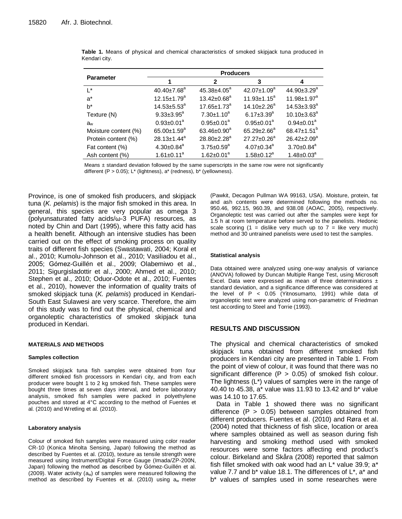|                      | <b>Producers</b>             |                         |                               |                               |  |  |
|----------------------|------------------------------|-------------------------|-------------------------------|-------------------------------|--|--|
| <b>Parameter</b>     |                              | 2                       | 3                             | 4                             |  |  |
| $\mathsf{I}^*$       | $40.40 \pm 7.68^a$           | $45.38 + 4.05^a$        | $42.07 \pm 1.09^a$            | 44.90±3.29 <sup>a</sup>       |  |  |
| $a^*$                | $12.15 \pm 1.79^a$           | $13.42 \pm 0.68^a$      | $11.93 \pm 1.15^a$            | 11.98±1.97 <sup>a</sup>       |  |  |
| $b^*$                | $14.53 \pm 5.53^a$           | $17.65 \pm 1.73^a$      | $14.10 \pm 2.26$ <sup>a</sup> | $14.53 \pm 3.93^a$            |  |  |
| Texture (N)          | $9.33 \pm 3.95^a$            | $7.30 \pm 1.10^a$       | $6.17 \pm 3.39$ <sup>a</sup>  | $10.10\pm3.63^a$              |  |  |
| $a_{w}$              | $0.93 \pm 0.01^a$            | $0.95 \pm 0.01^a$       | $0.95 \pm 0.01^a$             | $0.94 \pm 0.01^a$             |  |  |
| Moisture content (%) | $65.00 \pm 1.59^{\circ}$     | 63.46 $\pm$ 0.90 $^{a}$ | $65.29 \pm 2.66^a$            | 68.47 $\pm$ 1.51 <sup>b</sup> |  |  |
| Protein content (%)  | $28.13 \pm 1.44^a$           | 28.80±2.28 <sup>a</sup> | $27.27 \pm 0.26^a$            | 26.42±2.09 <sup>a</sup>       |  |  |
| Fat content (%)      | $4.30 \pm 0.84$ <sup>a</sup> | $3.75 \pm 0.59^a$       | $4.07 \pm 0.34$ <sup>a</sup>  | $3.70 \pm 0.84^a$             |  |  |
| Ash content (%)      | $1.61 \pm 0.11^a$            | $1.62 \pm 0.01^a$       | $1.58 \pm 0.12^a$             | $1.48 \pm 0.03^a$             |  |  |

| <b>Table 1.</b> Means of physical and chemical characteristics of smoked skipjack tuna produced in |  |  |  |  |  |  |
|----------------------------------------------------------------------------------------------------|--|--|--|--|--|--|
| Kendari city.                                                                                      |  |  |  |  |  |  |

Means ± standard deviation followed by the same superscripts in the same row were not significantly different  $(P > 0.05)$ ; L<sup>\*</sup> (lightness), a<sup>\*</sup> (redness), b<sup>\*</sup> (yellowness).

Province, is one of smoked fish producers, and skipjack tuna (*K. pelamis*) is the major fish smoked in this area. In general, this species are very popular as omega 3 (polyunsaturated fatty acids/ω-3 PUFA) resources, as noted by Chin and Dart (1995), where this fatty acid has a health benefit. Although an intensive studies has been carried out on the effect of smoking process on quality traits of different fish species (Swastawati, 2004; Koral et al., 2010; Kumolu-Johnson et al., 2010; Vasiliadou et al., 2005; Gόmez-Guillén et al., 2009; Olabemiwo et al., 2011; Sigurgisladottir et al., 2000; Ahmed et al., 2010; Stephen et al., 2010; Oduor-Odote et al., 2010; Fuentes et al., 2010), however the information of quality traits of smoked skipjack tuna (*K. pelamis*) produced in Kendari-South East Sulawesi are very scarce. Therefore, the aim of this study was to find out the physical, chemical and organoleptic characteristics of smoked skipjack tuna produced in Kendari.

## **MATERIALS AND METHODS**

#### **Samples collection**

Smoked skipjack tuna fish samples were obtained from four different smoked fish processors in Kendari city, and from each producer were bought 1 to 2 kg smoked fish. These samples were bought three times at seven days interval, and before laboratory analysis, smoked fish samples were packed in polyethylene pouches and stored at 4°C according to the method of Fuentes et al. (2010) and Wretling et al. (2010).

#### **Laboratory analysis**

Colour of smoked fish samples were measured using color reader CR-10 (Konica Minolta Sensing, Japan) following the method as described by Fuentes et al. (2010), texture as tensile strength were measured using Instrument/Digital Force Gauge (Imada/ZP-200N, Japan) following the method as described by Gόmez-Guillén et al. (2009). Water activity  $(a_w)$  of samples were measured following the method as described by Fuentes et al. (2010) using  $a_w$  meter (Pawkit, Decagon Pullman WA 99163, USA). Moisture, protein, fat and ash contents were determined following the methods no. 950.46, 992.15, 960.39, and 938.08 (AOAC, 2005), respectively. Organoleptic test was carried out after the samples were kept for 1.5 h at room temperature before served to the panelists. Hedonic scale scoring  $(1 =$  dislike very much up to  $7 =$  like very much) method and 30 untrained panelists were used to test the samples.

## **Statistical analysis**

Data obtained were analyzed using one-way analysis of variance (ANOVA) followed by Duncan Multiple Range Test, using Microsoft Excel. Data were expressed as mean of three determinations ± standard deviation, and a significance difference was considered at the level of P < 0.05 (Yitnosumarto, 1991) while data of organoleptic test were analyzed using non-parametric of Friedman test according to Steel and Torrie (1993).

# **RESULTS AND DISCUSSION**

The physical and chemical characteristics of smoked skipjack tuna obtained from different smoked fish producers in Kendari city are presented in Table 1. From the point of view of colour, it was found that there was no significant difference  $(P > 0.05)$  of smoked fish colour. The lightness (L\*) values of samples were in the range of 40.40 to 45.38, a\* value was 11.93 to 13.42 and b\* value was 14.10 to 17.65.

Data in Table 1 showed there was no significant difference  $(P > 0.05)$  between samples obtained from different producers. Fuentes et al. (2010) and Røra et al. (2004) noted that thickness of fish slice, location or area where samples obtained as well as season during fish harvesting and smoking method used with smoked resources were some factors affecting end product's colour. Birkeland and Skåra (2008) reported that salmon fish fillet smoked with oak wood had an  $L^*$  value 39.9; a\* value 7.7 and b\* value 18.1. The differences of L\*, a\* and b\* values of samples used in some researches were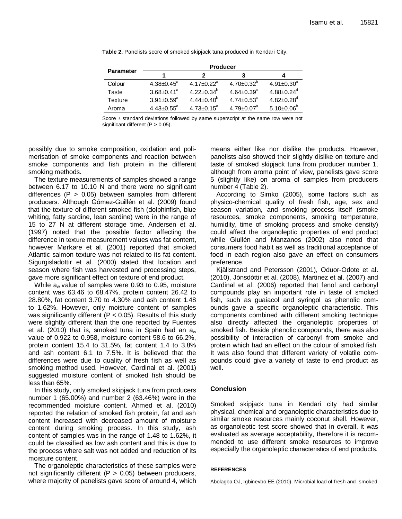|                  | <b>Producer</b>              |                              |                              |                              |  |  |
|------------------|------------------------------|------------------------------|------------------------------|------------------------------|--|--|
| <b>Parameter</b> |                              |                              |                              |                              |  |  |
| Colour           | $4.38 \pm 0.45$ <sup>a</sup> | $4.17 \pm 0.22$ <sup>a</sup> | $4.70 \pm 0.32^b$            | $4.91 \pm 0.30^c$            |  |  |
| Taste            | $3.68 \pm 0.41$ <sup>a</sup> | $4.22 + 0.34^{b}$            | $4.64 + 0.39^c$              | $4.88 \pm 0.24$ <sup>d</sup> |  |  |
| Texture          | $3.91 \pm 0.59$ <sup>a</sup> | $4.44 \pm 0.40^b$            | $4.74 \pm 0.53$ <sup>c</sup> | $4.82 \pm 0.28$ <sup>d</sup> |  |  |
| Aroma            | $4.43 \pm 0.55$ <sup>a</sup> | $4.73 \pm 0.15^a$            | $4.79 \pm 0.07$ <sup>a</sup> | $5.10 \pm 0.06^{\circ}$      |  |  |

**Table 2.** Panelists score of smoked skipjack tuna produced in Kendari City.

Score ± standard deviations followed by same superscript at the same row were not significant different (P > 0.05).

possibly due to smoke composition, oxidation and polimerisation of smoke components and reaction between smoke components and fish protein in the different smoking methods.

The texture measurements of samples showed a range between 6.17 to 10.10 N and there were no significant differences ( $P > 0.05$ ) between samples from different producers. Although Gόmez-Guillén et al. (2009) found that the texture of different smoked fish (dolphinfish, blue whiting, fatty sardine, lean sardine) were in the range of 15 to 27 N at different storage time. Andersen et al. (1997) noted that the possible factor affecting the difference in texture measurement values was fat content, however Mørkøre et al. (2001) reported that smoked Atlantic salmon texture was not related to its fat content. Sigurgisladottir et al. (2000) stated that location and season where fish was harvested and processing steps, gave more significant effect on texture of end product.

While  $a_w$  value of samples were 0.93 to 0.95, moisture content was 63.46 to 68.47%, protein content 26.42 to 28.80%, fat content 3.70 to 4.30% and ash content 1.48 to 1.62%. However, only moisture content of samples was significantly different ( $P < 0.05$ ). Results of this study were slightly different than the one reported by Fuentes et al. (2010) that is, smoked tuna in Spain had an  $a_w$ value of 0.922 to 0.958, moisture content 58.6 to 66.2%, protein content 15.4 to 31.5%, fat content 1.4 to 3.8% and ash content 6.1 to 7.5%. It is believed that the differences were due to quality of fresh fish as well as smoking method used. However, Cardinal et al. (2001) suggested moisture content of smoked fish should be less than 65%.

In this study, only smoked skipjack tuna from producers number 1 (65.00%) and number 2 (63.46%) were in the recommended moisture content. Ahmed et al. (2010) reported the relation of smoked fish protein, fat and ash content increased with decreased amount of moisture content during smoking process. In this study, ash content of samples was in the range of 1.48 to 1.62%, it could be classified as low ash content and this is due to the process where salt was not added and reduction of its moisture content.

The organoleptic characteristics of these samples were not significantly different ( $P > 0.05$ ) between producers, where majority of panelists gave score of around 4, which means either like nor dislike the products. However, panelists also showed their slightly dislike on texture and taste of smoked skipjack tuna from producer number 1, although from aroma point of view, panelists gave score 5 (slightly like) on aroma of samples from producers number 4 (Table 2).

According to Simko (2005), some factors such as physico-chemical quality of fresh fish, age, sex and season variation, and smoking process itself (smoke resources, smoke components, smoking temperature, humidity, time of smoking process and smoke density) could affect the organoleptic properties of end product while Giullén and Manzanos (2002) also noted that consumers food habit as well as traditional acceptance of food in each region also gave an effect on consumers preference.

Kjällstrand and Petersson (2001), Oduor-Odote et al. (2010), Jónsdóttir et al. (2008), Martinez et al. (2007) and Cardinal et al. (2006) reported that fenol and carbonyl compounds play an important role in taste of smoked fish, such as guaiacol and syringol as phenolic comounds gave a specific organoleptic characteristic. This components combined with different smoking technique also directly affected the organoleptic properties of smoked fish. Beside phenolic compounds, there was also possibility of interaction of carbonyl from smoke and protein which had an effect on the colour of smoked fish. It was also found that different variety of volatile compounds could give a variety of taste to end product as well.

# **Conclusion**

Smoked skipjack tuna in Kendari city had similar physical, chemical and organoleptic characteristics due to similar smoke resources mainly coconut shell. However, as organoleptic test score showed that in overall, it was evaluated as average acceptability, therefore it is recommended to use different smoke resources to improve especially the organoleptic characteristics of end products.

## **REFERENCES**

Abolagba OJ, Igbinevbo EE (2010). Microbial load of fresh and smoked